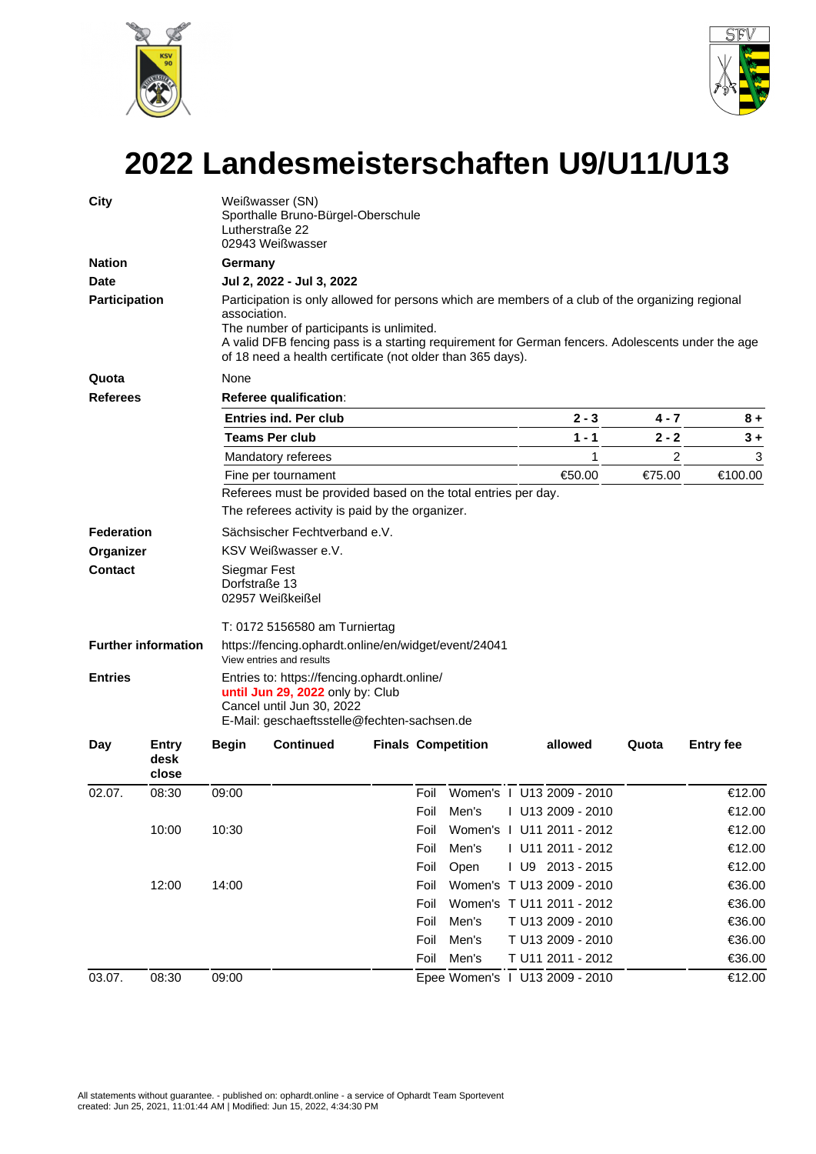



## **2022 Landesmeisterschaften U9/U11/U13**

| City                                                    |       | Weißwasser (SN)<br>Sporthalle Bruno-Bürgel-Oberschule<br>Lutherstraße 22<br>02943 Weißwasser                                                                                                                                                                                                                                          |                               |  |      |       |  |                                |                |         |  |  |            |                               |              |                  |  |      |                           |  |                           |       |                  |
|---------------------------------------------------------|-------|---------------------------------------------------------------------------------------------------------------------------------------------------------------------------------------------------------------------------------------------------------------------------------------------------------------------------------------|-------------------------------|--|------|-------|--|--------------------------------|----------------|---------|--|--|------------|-------------------------------|--------------|------------------|--|------|---------------------------|--|---------------------------|-------|------------------|
| <b>Nation</b>                                           |       | Germany                                                                                                                                                                                                                                                                                                                               |                               |  |      |       |  |                                |                |         |  |  |            |                               |              |                  |  |      |                           |  |                           |       |                  |
| <b>Date</b>                                             |       | Jul 2, 2022 - Jul 3, 2022                                                                                                                                                                                                                                                                                                             |                               |  |      |       |  |                                |                |         |  |  |            |                               |              |                  |  |      |                           |  |                           |       |                  |
| <b>Participation</b>                                    |       | Participation is only allowed for persons which are members of a club of the organizing regional<br>association.<br>The number of participants is unlimited.<br>A valid DFB fencing pass is a starting requirement for German fencers. Adolescents under the age<br>of 18 need a health certificate (not older than 365 days).        |                               |  |      |       |  |                                |                |         |  |  |            |                               |              |                  |  |      |                           |  |                           |       |                  |
| Quota                                                   |       | None                                                                                                                                                                                                                                                                                                                                  |                               |  |      |       |  |                                |                |         |  |  |            |                               |              |                  |  |      |                           |  |                           |       |                  |
| <b>Referees</b>                                         |       | <b>Referee qualification:</b>                                                                                                                                                                                                                                                                                                         |                               |  |      |       |  |                                |                |         |  |  |            |                               |              |                  |  |      |                           |  |                           |       |                  |
|                                                         |       | <b>Entries ind. Per club</b>                                                                                                                                                                                                                                                                                                          |                               |  |      |       |  | $2 - 3$                        | 4 - 7          | 8 +     |  |  |            |                               |              |                  |  |      |                           |  |                           |       |                  |
|                                                         |       | <b>Teams Per club</b>                                                                                                                                                                                                                                                                                                                 |                               |  |      |       |  | $1 - 1$                        | $2 - 2$        | $3+$    |  |  |            |                               |              |                  |  |      |                           |  |                           |       |                  |
|                                                         |       | Mandatory referees                                                                                                                                                                                                                                                                                                                    |                               |  |      |       |  | 1                              | $\overline{2}$ | 3       |  |  |            |                               |              |                  |  |      |                           |  |                           |       |                  |
|                                                         |       | Fine per tournament                                                                                                                                                                                                                                                                                                                   |                               |  |      |       |  | €50.00                         | €75.00         | €100.00 |  |  |            |                               |              |                  |  |      |                           |  |                           |       |                  |
|                                                         |       | Referees must be provided based on the total entries per day.                                                                                                                                                                                                                                                                         |                               |  |      |       |  |                                |                |         |  |  |            |                               |              |                  |  |      |                           |  |                           |       |                  |
|                                                         |       | The referees activity is paid by the organizer.                                                                                                                                                                                                                                                                                       |                               |  |      |       |  |                                |                |         |  |  |            |                               |              |                  |  |      |                           |  |                           |       |                  |
| <b>Federation</b>                                       |       |                                                                                                                                                                                                                                                                                                                                       | Sächsischer Fechtverband e.V. |  |      |       |  |                                |                |         |  |  |            |                               |              |                  |  |      |                           |  |                           |       |                  |
| Organizer                                               |       | KSV Weißwasser e.V.                                                                                                                                                                                                                                                                                                                   |                               |  |      |       |  |                                |                |         |  |  |            |                               |              |                  |  |      |                           |  |                           |       |                  |
| Contact<br><b>Further information</b><br><b>Entries</b> |       | Siegmar Fest<br>Dorfstraße 13<br>02957 Weißkeißel<br>T: 0172 5156580 am Turniertag<br>https://fencing.ophardt.online/en/widget/event/24041<br>View entries and results<br>Entries to: https://fencing.ophardt.online/<br>until Jun 29, 2022 only by: Club<br>Cancel until Jun 30, 2022<br>E-Mail: geschaeftsstelle@fechten-sachsen.de |                               |  |      |       |  |                                |                |         |  |  |            |                               |              |                  |  |      |                           |  |                           |       |                  |
|                                                         |       |                                                                                                                                                                                                                                                                                                                                       |                               |  |      |       |  |                                |                |         |  |  | <b>Day</b> | <b>Entry</b><br>desk<br>close | <b>Begin</b> | <b>Continued</b> |  |      | <b>Finals Competition</b> |  | allowed                   | Quota | <b>Entry fee</b> |
|                                                         |       |                                                                                                                                                                                                                                                                                                                                       |                               |  |      |       |  |                                |                |         |  |  | 02.07.     | 08:30                         | 09:00        |                  |  | Foil |                           |  | Women's 1 U13 2009 - 2010 |       | €12.00           |
|                                                         |       |                                                                                                                                                                                                                                                                                                                                       |                               |  | Foil | Men's |  | I U13 2009 - 2010              |                | €12.00  |  |  |            |                               |              |                  |  |      |                           |  |                           |       |                  |
|                                                         | 10:00 | 10:30                                                                                                                                                                                                                                                                                                                                 |                               |  | Foil |       |  | Women's   U11 2011 - 2012      |                | €12.00  |  |  |            |                               |              |                  |  |      |                           |  |                           |       |                  |
|                                                         |       |                                                                                                                                                                                                                                                                                                                                       |                               |  | Foil | Men's |  | I U11 2011 - 2012              |                | €12.00  |  |  |            |                               |              |                  |  |      |                           |  |                           |       |                  |
|                                                         |       |                                                                                                                                                                                                                                                                                                                                       |                               |  | Foil | Open  |  | I U9 2013 - 2015               |                | €12.00  |  |  |            |                               |              |                  |  |      |                           |  |                           |       |                  |
|                                                         | 12:00 | 14:00                                                                                                                                                                                                                                                                                                                                 |                               |  | Foil |       |  | Women's T U13 2009 - 2010      |                | €36.00  |  |  |            |                               |              |                  |  |      |                           |  |                           |       |                  |
|                                                         |       |                                                                                                                                                                                                                                                                                                                                       |                               |  | Foil |       |  | Women's T U11 2011 - 2012      |                | €36.00  |  |  |            |                               |              |                  |  |      |                           |  |                           |       |                  |
|                                                         |       |                                                                                                                                                                                                                                                                                                                                       |                               |  | Foil | Men's |  | T U13 2009 - 2010              |                | €36.00  |  |  |            |                               |              |                  |  |      |                           |  |                           |       |                  |
|                                                         |       |                                                                                                                                                                                                                                                                                                                                       |                               |  | Foil | Men's |  | T U13 2009 - 2010              |                | €36.00  |  |  |            |                               |              |                  |  |      |                           |  |                           |       |                  |
|                                                         |       |                                                                                                                                                                                                                                                                                                                                       |                               |  | Foil | Men's |  | T U11 2011 - 2012              |                | €36.00  |  |  |            |                               |              |                  |  |      |                           |  |                           |       |                  |
| 03.07.                                                  | 08:30 | 09:00                                                                                                                                                                                                                                                                                                                                 |                               |  |      |       |  | Epee Women's 1 U13 2009 - 2010 |                | €12.00  |  |  |            |                               |              |                  |  |      |                           |  |                           |       |                  |